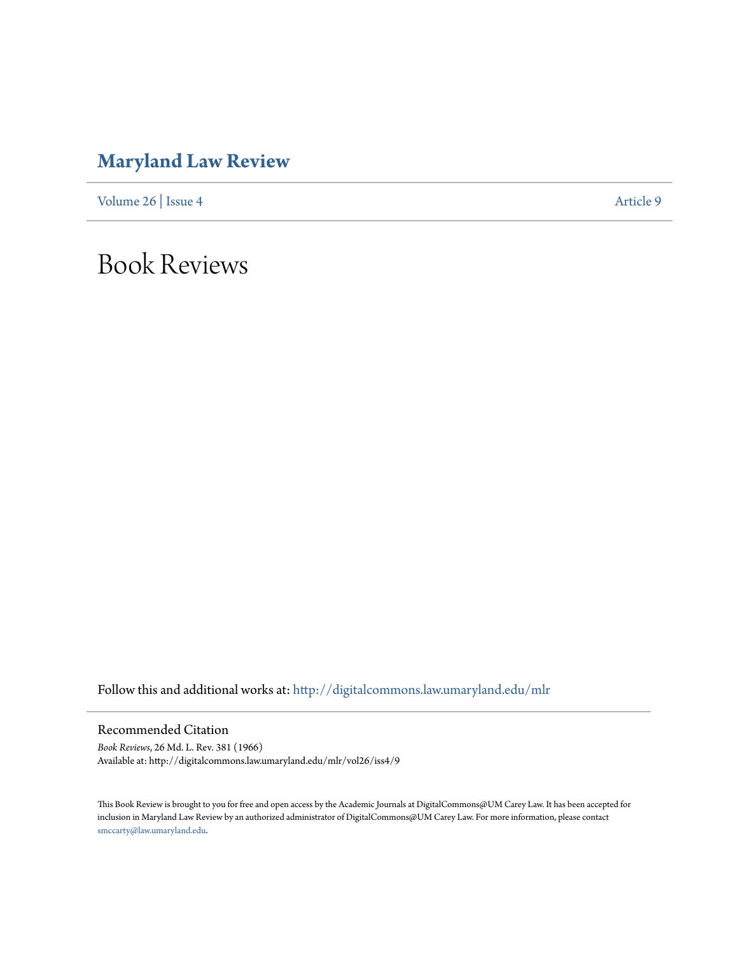## **[Maryland Law Review](http://digitalcommons.law.umaryland.edu/mlr?utm_source=digitalcommons.law.umaryland.edu%2Fmlr%2Fvol26%2Fiss4%2F9&utm_medium=PDF&utm_campaign=PDFCoverPages)**

[Volume 26](http://digitalcommons.law.umaryland.edu/mlr/vol26?utm_source=digitalcommons.law.umaryland.edu%2Fmlr%2Fvol26%2Fiss4%2F9&utm_medium=PDF&utm_campaign=PDFCoverPages) | [Issue 4](http://digitalcommons.law.umaryland.edu/mlr/vol26/iss4?utm_source=digitalcommons.law.umaryland.edu%2Fmlr%2Fvol26%2Fiss4%2F9&utm_medium=PDF&utm_campaign=PDFCoverPages) [Article 9](http://digitalcommons.law.umaryland.edu/mlr/vol26/iss4/9?utm_source=digitalcommons.law.umaryland.edu%2Fmlr%2Fvol26%2Fiss4%2F9&utm_medium=PDF&utm_campaign=PDFCoverPages)

Book Reviews

Follow this and additional works at: [http://digitalcommons.law.umaryland.edu/mlr](http://digitalcommons.law.umaryland.edu/mlr?utm_source=digitalcommons.law.umaryland.edu%2Fmlr%2Fvol26%2Fiss4%2F9&utm_medium=PDF&utm_campaign=PDFCoverPages)

Recommended Citation

*Book Reviews*, 26 Md. L. Rev. 381 (1966) Available at: http://digitalcommons.law.umaryland.edu/mlr/vol26/iss4/9

This Book Review is brought to you for free and open access by the Academic Journals at DigitalCommons@UM Carey Law. It has been accepted for inclusion in Maryland Law Review by an authorized administrator of DigitalCommons@UM Carey Law. For more information, please contact [smccarty@law.umaryland.edu.](mailto:smccarty@law.umaryland.edu)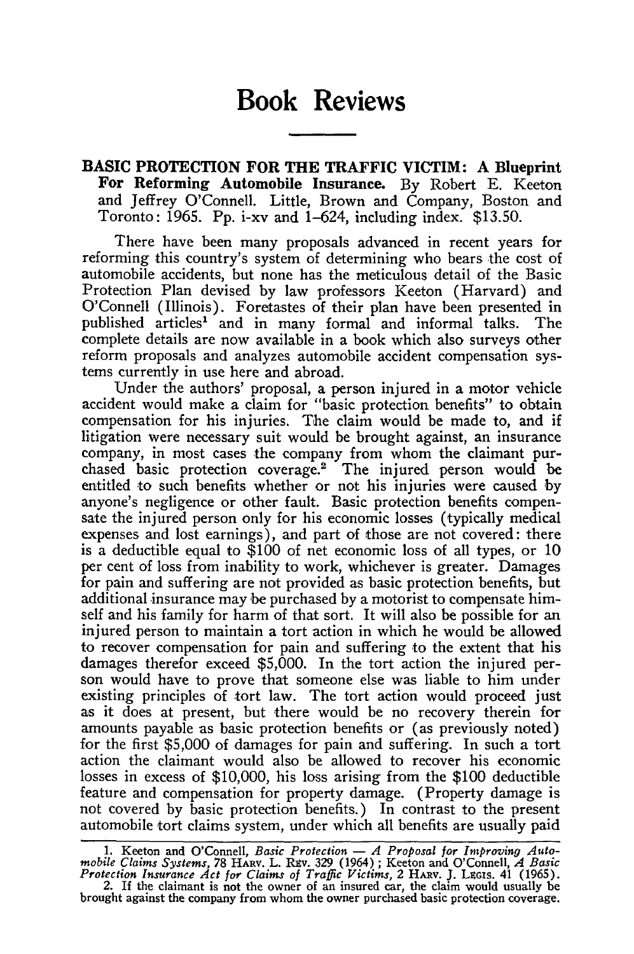## **Book Reviews**

**BASIC PROTECTION FOR THE TRAFFIC VICTIM: A Blueprint For Reforming Automobile Insurance. By** Robert **E.** Keeton **and** Jeffrey O'Connell. Little, Brown and Company, Boston and Toronto: **1965. Pp.** i-xv and 1-624, including index. **\$13.50.**

There have been many proposals advanced in recent years for reforming this country's system of determining who bears the cost of automobile accidents, but none has the meticulous detail of the Basic Protection Plan devised by law professors Keeton (Harvard) and O'Connell (Illinois). Foretastes of their plan have been presented in published articles' and in many formal and informal talks. The complete details are now available in a book which also surveys other reform proposals and analyzes automobile accident compensation systems currently in use here and abroad.

Under the authors' proposal, a person injured in a motor vehicle accident would make a claim for "basic protection benefits" to obtain compensation for his injuries. The claim would be made to, and if litigation were necessary suit would be brought against, an insurance company, in most cases the company from whom the claimant purchased basic protection coverage.2 The injured person would be entitled to such benefits whether or not his injuries were caused by anyone's negligence or other fault. Basic protection benefits compensate the injured person only for his economic losses (typically medical expenses and lost earnings), and part of those are not covered: there is a deductible equal to \$100 of net economic loss of all types, or 10 per cent of loss from inability to work, whichever is greater. Damages for pain and suffering are not provided as basic protection benefits, but additional insurance may be purchased by a motorist to compensate himself and his family for harm of that sort. It will also be possible for an injured person to maintain a tort action in which he would be allowed to recover compensation for pain and suffering to the extent that his damages therefor exceed \$5,000. In the tort action the injured person would have to prove that someone else was liable to him under existing principles of tort law. The tort action would proceed just as it does at present, but there would be no recovery therein for amounts payable as basic protection benefits or (as previously noted) for the first \$5,000 of damages for pain and suffering. In such a tort action the claimant would also be allowed to recover his economic losses in excess of \$10,000, his loss arising from the \$100 deductible feature and compensation for property damage. (Property damage is not covered by basic protection benefits.) In contrast to the present automobile tort claims system, under which all benefits are usually paid

<sup>1.</sup> Keeton and O'Connell, Basic Protection - A Proposal for Improving Automobile Claims Systems, 78 HARV. L. REV. 329 (1964); Keeton and O'Connell, A Basic Protection Insurance Act for Claims of Traffic Victims, 2 HARV. J.

<sup>2.</sup> If the claimant is not the owner of an insured car, the claim would usually be brought against the company from whom the owner purchased basic protection coverage.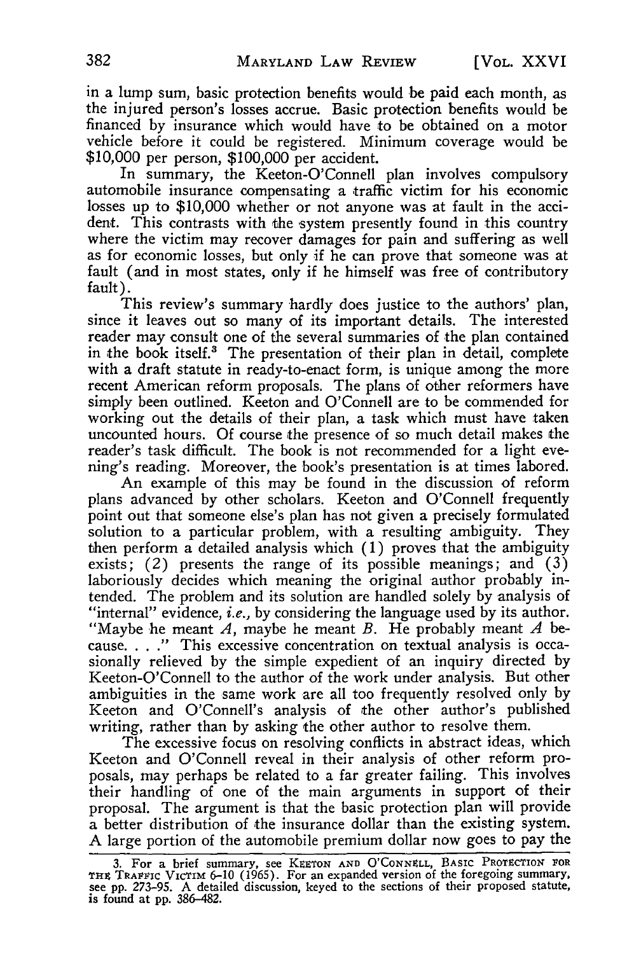in a lump sum, basic protection benefits would be paid each month, as the injured person's losses accrue. Basic protection benefits would be financed by insurance which would have to be obtained on a motor vehicle before it could be registered. Minimum coverage would be \$10,000 per person, \$100,000 per accident.

In summary, the Keeton-O'Connell plan involves compulsory automobile insurance compensating a traffic victim for his economic losses up to \$10,000 whether or not anyone was at fault in the accident. This contrasts with the system presently found in this country where the victim may recover damages for pain and suffering as well as for economic losses, but only if he can prove that someone was at fault (and in most states, only if he himself was free of contributory fault).

This review's summary hardly does justice to the authors' plan, since it leaves out so many of its important details. The interested reader may consult one of the several summaries of the plan contained in the book itself.<sup>3</sup> The presentation of their plan in detail, complete with a draft statute in ready-to-enact form, is unique among the more recent American reform proposals. The plans of other reformers have simply been outlined. Keeton and O'Connell are to be commended for working out the details of their plan, a task which must have taken uncounted hours. Of course the presence of so much detail makes the reader's task difficult. The book is not recommended for a light evening's reading. Moreover, the book's presentation is at times labored.

An example of this may be found in the discussion of reform plans advanced by other scholars. Keeton and O'Connell frequently point out that someone else's plan has not given a precisely formulated solution to a particular problem, with a resulting ambiguity. They then perform a detailed analysis which (1) proves that the ambiguity exists;  $(2)$  presents the range of its possible meanings; and  $(3)$ laboriously decides which meaning the original author probably intended. The problem and its solution are handled solely by analysis of "internal" evidence, *i.e.,* by considering the language used by its author. "Maybe he meant *A,* maybe he meant *B.* He probably meant *A* because. . . **."** This excessive concentration on textual analysis is occasionally relieved by the simple expedient of an inquiry directed by Keeton-O'Connell to the author of the work under analysis. But other ambiguities in the same work are all too frequently resolved only by Keeton and O'Connell's analysis of the other author's published writing, rather than by asking the other author to resolve them.

The excessive focus on resolving conflicts in abstract ideas, which Keeton and O'Connell reveal in their analysis of other reform proposals, may perhaps be related to a far greater failing. This involves their handling of one of the main arguments in support of their proposal. The argument is that the basic protection plan will provide a better distribution of the insurance dollar than the existing system. **A** large portion of the automobile premium dollar now goes to pay the

**<sup>3.</sup>** For a brief summary, see KEETON **AND O'CoNNELL,** BASIC PROTECTION **FOR** Tnx TRAFFIC VICTIM 6-10 (1965). For an expanded version of the foregoing summary, see pp. 273-95. A detailed discussion, keyed to the sections of their proposed statute, is found at pp. 386-482.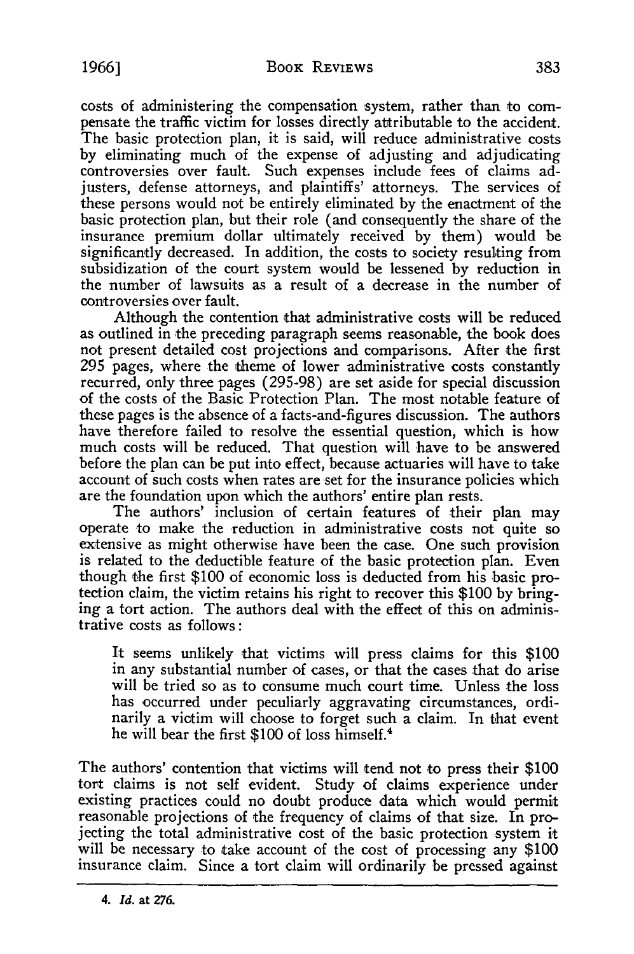costs of administering the compensation system, rather than to compensate the traffic victim for losses directly attributable to the accident. The basic protection plan, it is said, will reduce administrative costs **by** eliminating much of the expense of adjusting and adjudicating controversies over fault. Such expenses include fees of claims adjusters, defense attorneys, and plaintiffs' attorneys. The services of these persons would not be entirely eliminated **by** the enactment of the basic protection plan, but their role (and consequently the share of the insurance premium dollar ultimately received **by** them) would be significantly decreased. In addition, the costs to society resulting from subsidization of the court system would be lessened **by** reduction in the number of lawsuits as a result of a decrease in the number of controversies over fault.

Although the contention that administrative costs will be reduced as outlined in the preceding paragraph seems reasonable, the book does not present detailed cost projections and comparisons. After the first **295** pages, where the theme of lower administrative costs constantly recurred, only three pages **(295-98)** are set aside for special discussion of the costs of the Basic Protection Plan. The most notable feature of these pages is the absence of a facts-and-figures discussion. The authors have therefore failed to resolve the essential question, which is how much costs will be reduced. That question will have to be answered before the plan can be put into effect, because actuaries will have to take account of such costs when rates are set for the insurance policies which are the foundation upon which the authors' entire plan rests.

The authors' inclusion of certain features of their plan may operate to make the reduction in administrative costs not quite so extensive as might otherwise have been the case. One such provision is related to the deductible feature of the basic protection plan. Even though the first \$100 of economic loss is deducted from his basic protection claim, the victim retains his right to recover this \$100 by bring-<br>ing a tort action. The authors deal with the effect of this on administrative costs as follows:

It seems unlikely that victims will press claims for this **\$100** in any substantial number of cases, or that the cases that do arise will be tried so as to consume much court time. Unless the loss has occurred under peculiarly aggravating circumstances, ordinarily a victim will choose to forget such a claim. In that event he will bear the first **\$100** of loss himself.4

The authors' contention that victims will tend not to press their **\$100** tort claims is not self evident. Study of claims experience under existing practices could no doubt produce data which would permit reasonable projections of the frequency of claims of that size. In projecting the total administrative cost of the basic protection system it will be necessary to take account of the cost of processing any **\$100** insurance claim. Since a tort claim will ordinarily be pressed against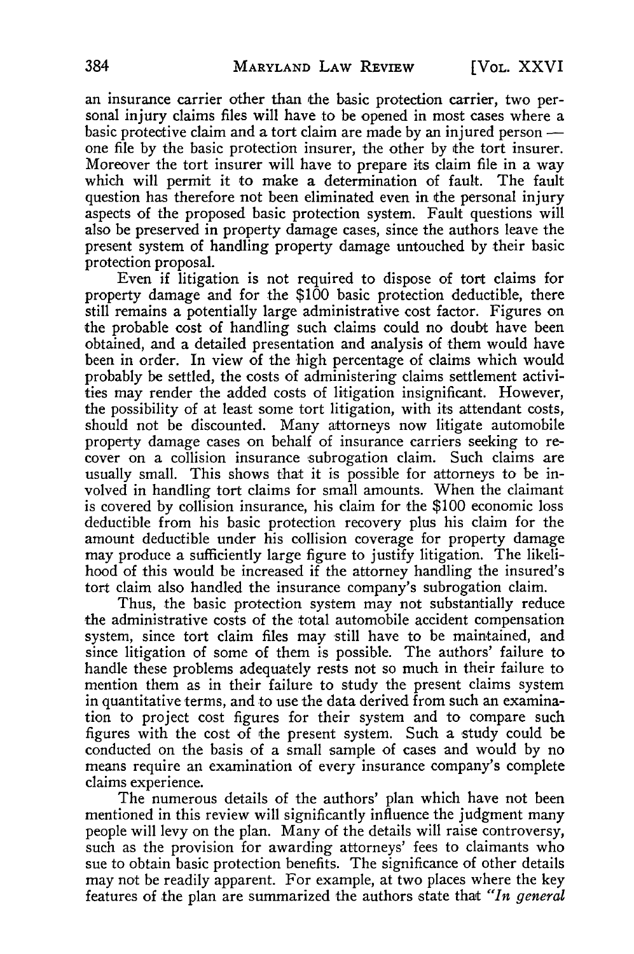an insurance carrier other than the basic protection carrier, two personal injury claims files will have to be opened in most cases where a basic protective claim and a tort claim are made **by** an injured person  one file **by** the basic protection insurer, the other **by** the tort insurer. Moreover the tort insurer will have to prepare its claim file in a way which will permit it to make a determination of fault. The fault question has therefore not been eliminated even in the personal injury aspects of the proposed basic protection system. Fault questions will also be preserved in property damage cases, since the authors leave the present system of handling property damage untouched **by** their basic protection proposal.

Even if litigation is not required to dispose of tort claims for property damage and for the \$100 basic protection deductible, there still remains a potentially large administrative cost factor. Figures on the probable cost of handling such claims could no doubt have been obtained, and a detailed presentation and analysis of them would have been in order. In view of the high percentage of claims which would probably be settled, the costs of administering claims settlement activities may render the added costs of litigation insignificant. However, the possibility of at least some tort litigation, with its attendant costs, should not be discounted. Many attorneys now litigate automobile property damage cases on behalf of insurance carriers seeking to recover on a collision insurance subrogation claim. Such claims are usually small. This shows that it is possible for attorneys to be involved in handling tort claims for small amounts. When the claimant is covered **by** collision insurance, his claim for the \$100 economic loss deductible from his basic protection recovery plus his claim for the amount deductible under his collision coverage for property damage may produce a sufficiently large figure to justify litigation. The likelihood of this would be increased if the attorney handling the insured's tort claim also handled the insurance company's subrogation claim.

Thus, the basic protection system may not substantially reduce the administrative costs of the total automobile accident compensation system, since tort claim files may still have to be maintained, and since litigation of some of them is possible. The authors' failure to handle these problems adequately rests not so much in their failure to mention them as in their failure to study the present claims system in quantitative terms, and to use the data derived from such an examination to project cost figures for their system and to compare such figures with the cost of the present system. Such a study could be conducted on the basis of a small sample of cases and would **by** no means require an examination of every insurance company's complete claims experience.

The numerous details of the authors' plan which have not been mentioned in this review will significantly influence the judgment many people will levy on the plan. Many of the details will raise controversy, such as the provision for awarding attorneys' fees to claimants who sue to obtain basic protection benefits. The significance of other details may not be readily apparent. For example, at two places where the key features of the plan are summarized the authors state that *"In general*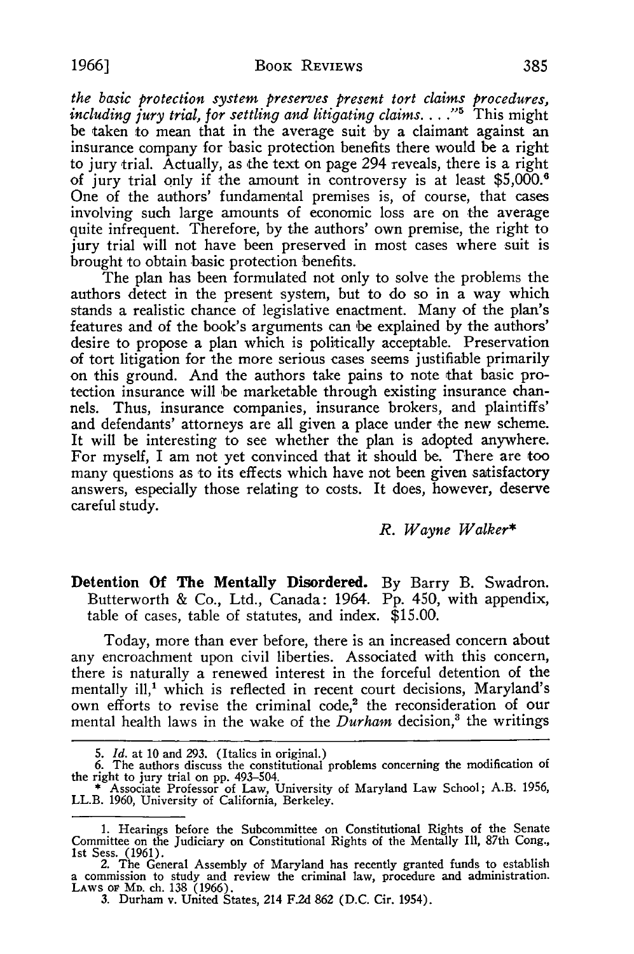*the basic protection system preserves present tort claims procedures, including jury trial, for settling and litigating claims....*"<sup>5</sup> This might be taken to mean that in the average suit **by** a claimant against an insurance company for basic protection benefits there would be a right to jury trial. Actually, as the text on page 294 reveals, there is a right of jury trial only if the amount in controversy is at least \$5,000.6 One of the authors' fundamental premises is, of course, that cases involving such large amounts of economic loss are on the average quite infrequent. Therefore, **by** the authors' own premise, the right to jury trial will not have been preserved in most cases where suit is brought to obtain basic protection benefits.

The plan has been formulated not only to solve the problems the authors detect in the present system, but to do so in a way which stands a realistic chance of legislative enactment. Many of the plan's features and of the book's arguments can be explained by the authors' desire to propose a plan which is politically acceptable. Preservation of tort litigation for the more serious cases seems justifiable primarily on this ground. And the authors take pains to note that basic protection insurance will be marketable through existing insurance channels. Thus, insurance companies, insurance brokers, and plaintiffs' and defendants' attorneys are all given a place under the new scheme. It will be interesting to see whether the plan is adopted anywhere. For myself, I am not yet convinced that it should be. There are too many questions as to its effects which have not been given satisfactory answers, especially those relating to costs. It does, however, deserve careful study.

## *R. Wayne Walker\**

Detention **Of** The Mentally Disordered. By Barry B. Swadron. Butterworth & Co., Ltd., Canada: 1964. Pp. 450, with appendix, table of cases, table of statutes, and index. \$15.00.

Today, more than ever before, there is an increased concern about any encroachment upon civil liberties. Associated with this concern, there is naturally a renewed interest in the forceful detention of the mentally ill,<sup>1</sup> which is reflected in recent court decisions, Maryland's own efforts to revise the criminal code,<sup>2</sup> the reconsideration of our mental health laws in the wake of the *Durham* decision,<sup>3</sup> the writings

<sup>5.</sup> *Id.* at 10 and 293. (Italics in original.)<br>6. The authors discuss the constitutional problems concerning the modification of

the right to jury trial on pp. 493-504. \* Associate Professor of Law, University of Maryland Law School; A.B. 1956, LL.B. 1960, University of California, Berkeley.

<sup>1.</sup> Hearings before the Subcommittee on Constitutional Rights of the Senate Committee on the Judiciary on Constitutional Rights of the Mentally Ill, 87th Cong., 1st Sess. (1961). 2. The General Assembly of Maryland has recently granted funds to establish

a commission to study and review the criminal law, procedure and administration. LAWS **oF** MD. ch. 138 (1966).

<sup>3.</sup> Durham v. United States, 214 F.2d 862 (D.C. Cir. 1954).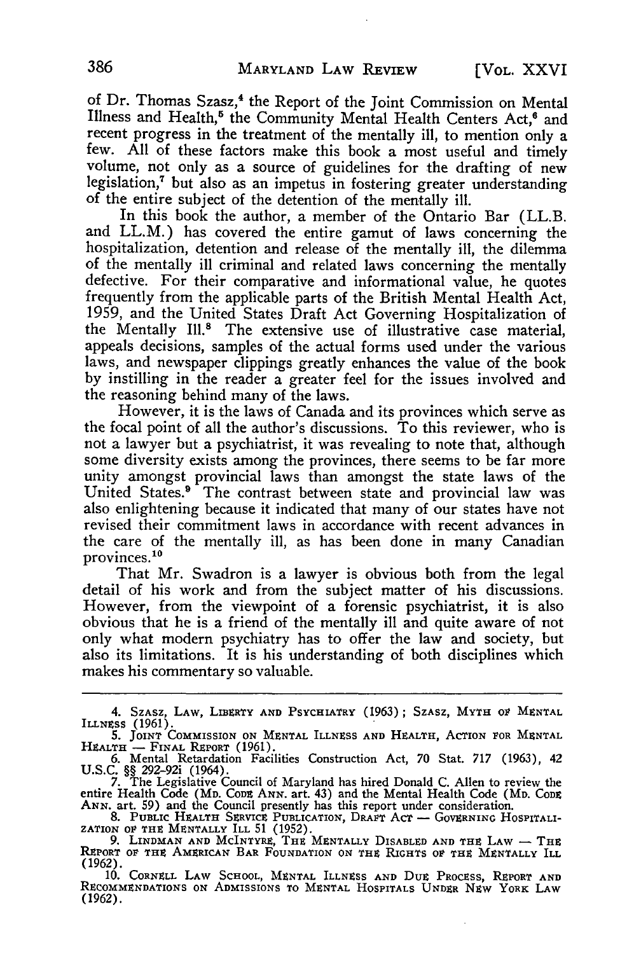of Dr. Thomas Szasz,<sup>4</sup> the Report of the Joint Commission on Mental Illness and Health,<sup>5</sup> the Community Mental Health Centers Act,<sup>6</sup> and recent progress in the treatment of the mentally ill, to mention only a few. **All** of these factors make this book a most useful and timely volume, not only as a source of guidelines for the drafting of new legislation,7 but also as an impetus in fostering greater understanding of the entire subject of the detention of the mentally ill.

In this book the author, a member of the Ontario Bar (LL.B. and LL.M.) has covered the entire gamut of laws concerning the hospitalization, detention and release of the mentally ill, the dilemma of the mentally ill criminal and related laws concerning the mentally defective. For their comparative and informational value, he quotes frequently from the applicable parts of the British Mental Health Act, 1959, and the United States Draft Act Governing Hospitalization of the Mentally Ill.<sup>8</sup> The extensive use of illustrative case material, appeals decisions, samples of the actual forms used under the various laws, and newspaper clippings greatly enhances the value of the book by instilling in the reader a greater feel for the issues involved and the reasoning behind many of the laws.

However, it is the laws of Canada and its provinces which serve as the focal point of all the author's discussions. To this reviewer, who is not a lawyer but a psychiatrist, it was revealing to note that, although some diversity exists among the provinces, there seems to be far more unity amongst provincial laws than amongst the state laws of the United States.<sup>9</sup> The contrast between state and provincial law was also enlightening because it indicated that many of our states have not revised their commitment laws in accordance with recent advances in the care of the mentally ill, as has been done in many Canadian provinces.<sup>10</sup>

That Mr. Swadron is a lawyer is obvious both from the legal detail of his work and from the subject matter of his discussions. However, from the viewpoint of a forensic psychiatrist, it is also obvious that he is a friend of the mentally ill and quite aware of not only what modern psychiatry has to offer the law and society, but also its limitations. It is his understanding of both disciplines which makes his commentary so valuable.

<sup>4.</sup> Szasz, Law, Liberty and Psychiatry (1963); Szasz, Myth of Mentai<br>Illness (1961).<br>5. Joint Commission on Mental Illness and Health, Action for Mentai<br>Health — Final Refort (1961).<br>5. Commission Facilities Construction Ac

U.S.C. §§ 292-92i (1964).<br>7. The Legislative Council of Maryland has hired Donald C. Allen to review the<br>entire Health Code (MD. CoDE ANN. art. 43) and the Mental Health Code (MD. CoDE<br>ANN. art. 59) and the Council present

<sup>9.</sup> **LINDMAN AND MCINTYR, THE MENTALLY DISABLED AND THE** LAW - **THE REPORT** OV **THE** AMERICAN **BAR FOUNDATION ON THE** RIGHTS **Or** THE **MENTALLY ILL** (1962).

**<sup>10.</sup>** CORNELL **LAW SCHOOL,** MENTAL **ILLNESS AND** DuE PROCESS, REPORT **AND** RECOMMENDATIONS ON **ADMISSIONS TO MENTAL HOSPITALS UNDER** NEW **YORK LAW** (1962).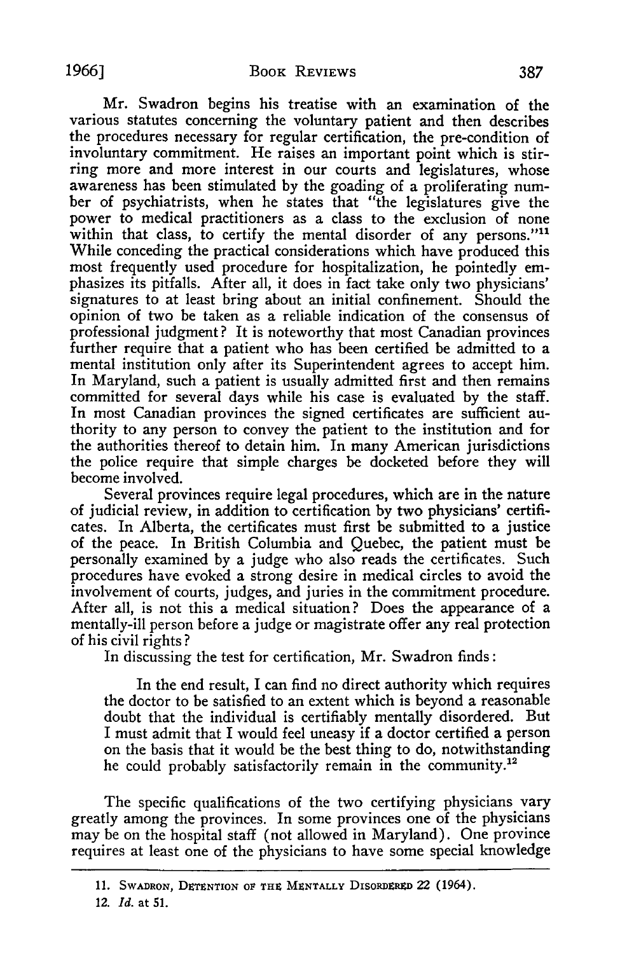Mr. Swadron begins his treatise with an examination of the various statutes concerning the voluntary patient and then describes the procedures necessary for regular certification, the pre-condition of involuntary commitment. He raises an important point which is stirring more and more interest in our courts and legislatures, whose awareness has been stimulated **by** the goading of a proliferating number of psychiatrists, when he states that "the legislatures give the power to medical practitioners as a class to the exclusion of none within that class, to certify the mental disorder of any persons."<sup>11</sup> While conceding the practical considerations which have produced this most frequently used procedure for hospitalization, he pointedly emphasizes its pitfalls. After all, it does in fact take only two physicians' signatures to at least bring about an initial confinement. Should the opinion of two be taken as a reliable indication of the consensus of professional judgment? It is noteworthy that most Canadian provinces further require that a patient who has been certified be admitted to a mental institution only after its Superintendent agrees to accept him. In Maryland, such a patient is usually admitted first and then remains committed for several days while his case is evaluated **by** the staff. In most Canadian provinces the signed certificates are sufficient authority to any person to convey the patient to the institution and for the authorities thereof to detain him. In many American jurisdictions the police require that simple charges be docketed before they will become involved.

Several provinces require legal procedures, which are in the nature of judicial review, in addition to certification **by** two physicians' certificates. In Alberta, the certificates must first be submitted to a justice of the peace. In British Columbia and Quebec, the patient must be personally examined **by** a judge who also reads the certificates. Such procedures have evoked a strong desire in medical circles to avoid the involvement of courts, judges, and juries in the commitment procedure. After all, is not this a medical situation? Does the appearance of a mentally-ill person before a judge or magistrate offer any real protection of his civil rights **?**

In discussing the test for certification, Mr. Swadron finds:

In the end result, I can find no direct authority which requires the doctor to be satisfied to an extent which is beyond a reasonable doubt that the individual is certifiably mentally disordered. But I must admit that I would feel uneasy if a doctor certified a person on the basis that it would be the best thing to **do,** notwithstanding he could probably satisfactorily remain in the community.<sup>12</sup>

The specific qualifications of the two certifying physicians vary greatly among the provinces. In some provinces one of the physicians may be on the hospital staff (not allowed in Maryland). One province requires at least one of the physicians to have some special knowledge

<sup>11.</sup> SWADRON, DETENTION OF THE MENTALLY DISORDERED 22 (1964).

*<sup>12.</sup> Id.* at **51.**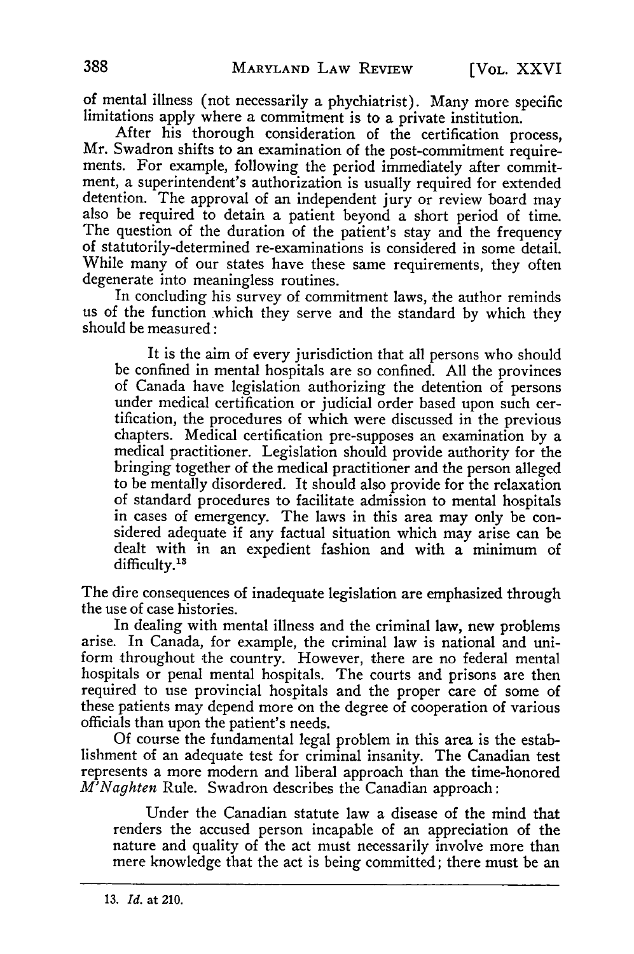of mental illness (not necessarily a phychiatrist). Many more specific limitations apply where a commitment is to a private institution.

After his thorough consideration of the certification process, Mr. Swadron shifts to an examination of the post-commitment requirements. For example, following the period immediately after commitment, a superintendent's authorization is usually required for extended detention. The approval of an independent jury or review board may also be required to detain a patient beyond a short period of time. The question of the duration of the patient's stay and the frequency of statutorily-determined re-examinations is considered in some detail. While many of our states have these same requirements, they often degenerate into meaningless routines.

In concluding his survey of commitment laws, the author reminds us of the function which they serve and the standard **by** which they should be measured:

It is the aim of every jurisdiction that all persons who should be confined in mental hospitals are so confined. **All** the provinces of Canada have legislation authorizing the detention of persons under medical certification or judicial order based upon such certification, the procedures of which were discussed in the previous chapters. Medical certification pre-supposes an examination **by** a medical practitioner. Legislation should provide authority for the bringing together of the medical practitioner and the person alleged to be mentally disordered. It should also provide for the relaxation of standard procedures to facilitate admission to mental hospitals in cases of emergency. The laws in this area may only be considered adequate if any factual situation which may arise can be dealt with in an expedient fashion and with a minimum of difficulty.<sup>13</sup>

The dire consequences of inadequate legislation are emphasized through the use of case histories.

In dealing with mental illness and the criminal law, new problems arise. In Canada, for example, the criminal law is national and uniform throughout the country. However, there are no federal mental hospitals or penal mental hospitals. The courts and prisons are then required to use provincial hospitals and the proper care of some of these patients may depend more on the degree of cooperation of various officials than upon the patient's needs.

**Of** course the fundamental legal problem in this area is the establishment of an adequate test for criminal insanity. The Canadian test represents a more modern and liberal approach than the time-honored *M'Naghten* Rule. Swadron describes the Canadian approach:

Under the Canadian statute law a disease of the mind that renders the accused person incapable of an appreciation of the nature and quality of the act must necessarily involve more than mere knowledge that the act is being committed; there must be an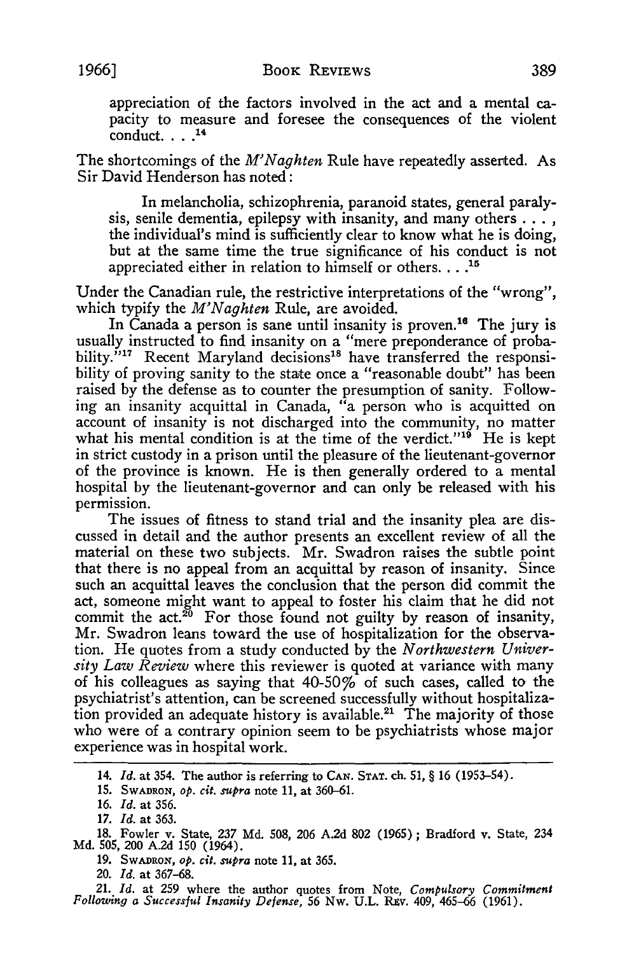appreciation of the factors involved in the act and a mental capacity to measure and foresee the consequences of the violent conduct.  $\ldots$ .<sup>14</sup>

The shortcomings of the *M'Naghten* Rule have repeatedly asserted. As Sir David Henderson has noted:

In melancholia, schizophrenia, paranoid states, general paralysis, senile dementia, epilepsy with insanity, and many others **....** the individual's mind is sufficiently clear to know what he is doing, but at the same time the true significance of his conduct is not appreciated either in relation to himself or others. . . .<sup>15</sup>

Under the Canadian rule, the restrictive interpretations of the "wrong", which typify the *M'Naghten* Rule, are avoided.

In Canada a person is sane until insanity is proven.<sup>16</sup> The jury is usually instructed to find insanity on a "mere preponderance of probability."<sup>17</sup> Recent Maryland decisions<sup>18</sup> have transferred the responsibility of proving sanity to the state once a "reasonable doubt" has been raised by the defense as to counter the presumption of sanity. Following an insanity acquittal in Canada, "a person who is acquitted on account of insanity is not discharged into the community, no matter what his mental condition is at the time of the verdict."<sup>19</sup> He is kept in strict custody in a prison until the pleasure of the lieutenant-governor of the province is known. He is then generally ordered to a mental hospital by the lieutenant-governor and can only be released with his permission.

The issues of fitness to stand trial and the insanity plea are discussed in detail and the author presents an excellent review of all the material on these two subjects. Mr. Swadron raises the subtle point that there is no appeal from an acquittal by reason of insanity. Since such an acquittal leaves the conclusion that the person did commit the act, someone might want to appeal to foster his claim that he did not commit the act.<sup>26</sup> For those found not guilty by reason of insanity, Mr. Swadron leans toward the use of hospitalization for the observation. He quotes from a study conducted by the *Northwestern University Law Review* where this reviewer is quoted at variance with many of his colleagues as saying that  $40-50\%$  of such cases, called to the psychiatrist's attention, can be screened successfully without hospitalization provided an adequate history is available.<sup>21</sup> The majority of those who were of a contrary opinion seem to be psychiatrists whose major experience was in hospital work.

**14.** *Id.* at 354. The author is referring to CAN. **STAT.** ch. **51,** § **16 (1953-54).**

**15.** SWADRON, *op. cit. supra* note 11, at 360-61.

**16.** *Id.* at 356.

*17. Id.* at 363.

18. Fowler v. State, *237* **Md.** 508, 206 A.2d 802 (1965) ; Bradford v. State, 234 Md. 505, 200 A.2d **150** (1964).

**19.** SWADRON, *op. cit. supra* note 11, at 365.

20. *Id.* at 367-68.

21. *Id.* at 259 where the author quotes from Note, *Compulsory Commitment Following a Successful Insanity Defense,* 56 Nw. U.L. Rzv. 409, 465-66 (1961).